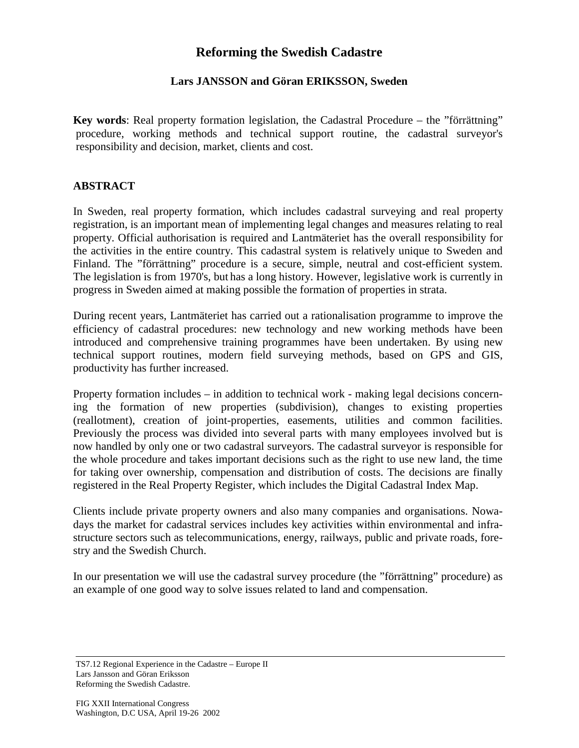## **Reforming the Swedish Cadastre**

## **Lars JANSSON and Göran ERIKSSON, Sweden**

**Key words**: Real property formation legislation, the Cadastral Procedure – the "förrättning" procedure, working methods and technical support routine, the cadastral surveyor's responsibility and decision, market, clients and cost.

## **ABSTRACT**

In Sweden, real property formation, which includes cadastral surveying and real property registration, is an important mean of implementing legal changes and measures relating to real property. Official authorisation is required and Lantmäteriet has the overall responsibility for the activities in the entire country. This cadastral system is relatively unique to Sweden and Finland. The "förrättning" procedure is a secure, simple, neutral and cost-efficient system. The legislation is from 1970's, but has a long history. However, legislative work is currently in progress in Sweden aimed at making possible the formation of properties in strata.

During recent years, Lantmäteriet has carried out a rationalisation programme to improve the efficiency of cadastral procedures: new technology and new working methods have been introduced and comprehensive training programmes have been undertaken. By using new technical support routines, modern field surveying methods, based on GPS and GIS, productivity has further increased.

Property formation includes – in addition to technical work - making legal decisions concerning the formation of new properties (subdivision), changes to existing properties (reallotment), creation of joint-properties, easements, utilities and common facilities. Previously the process was divided into several parts with many employees involved but is now handled by only one or two cadastral surveyors. The cadastral surveyor is responsible for the whole procedure and takes important decisions such as the right to use new land, the time for taking over ownership, compensation and distribution of costs. The decisions are finally registered in the Real Property Register, which includes the Digital Cadastral Index Map.

Clients include private property owners and also many companies and organisations. Nowadays the market for cadastral services includes key activities within environmental and infrastructure sectors such as telecommunications, energy, railways, public and private roads, forestry and the Swedish Church.

In our presentation we will use the cadastral survey procedure (the "förrättning" procedure) as an example of one good way to solve issues related to land and compensation.

TS7.12 Regional Experience in the Cadastre – Europe II Lars Jansson and Göran Eriksson Reforming the Swedish Cadastre.